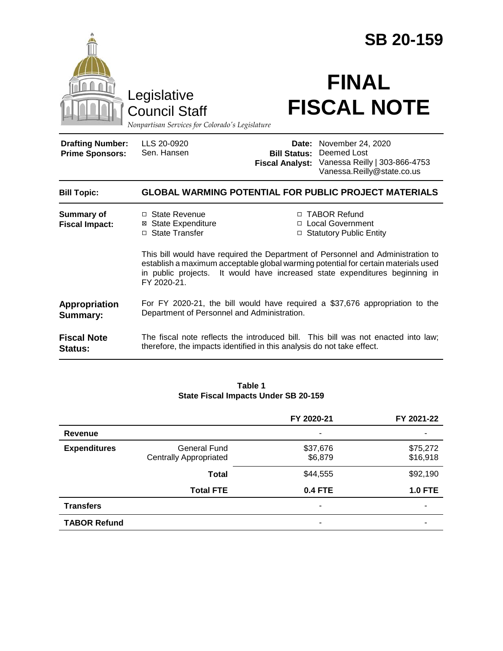|                                                   |                                                                                                                                                                                                                                                                     | <b>SB 20-159</b>                |                                                                                                                     |  |
|---------------------------------------------------|---------------------------------------------------------------------------------------------------------------------------------------------------------------------------------------------------------------------------------------------------------------------|---------------------------------|---------------------------------------------------------------------------------------------------------------------|--|
|                                                   | Legislative<br><b>Council Staff</b><br>Nonpartisan Services for Colorado's Legislature                                                                                                                                                                              |                                 | <b>FINAL</b><br><b>FISCAL NOTE</b>                                                                                  |  |
| <b>Drafting Number:</b><br><b>Prime Sponsors:</b> | LLS 20-0920<br>Sen. Hansen                                                                                                                                                                                                                                          | Date:<br><b>Fiscal Analyst:</b> | November 24, 2020<br><b>Bill Status: Deemed Lost</b><br>Vanessa Reilly   303-866-4753<br>Vanessa.Reilly@state.co.us |  |
| <b>Bill Topic:</b>                                | <b>GLOBAL WARMING POTENTIAL FOR PUBLIC PROJECT MATERIALS</b>                                                                                                                                                                                                        |                                 |                                                                                                                     |  |
| <b>Summary of</b><br><b>Fiscal Impact:</b>        | □ State Revenue<br><b>⊠</b> State Expenditure<br>□ State Transfer                                                                                                                                                                                                   |                                 | □ TABOR Refund<br>□ Local Government<br>□ Statutory Public Entity                                                   |  |
|                                                   | This bill would have required the Department of Personnel and Administration to<br>establish a maximum acceptable global warming potential for certain materials used<br>in public projects. It would have increased state expenditures beginning in<br>FY 2020-21. |                                 |                                                                                                                     |  |
| Appropriation<br><b>Summary:</b>                  | For FY 2020-21, the bill would have required a \$37,676 appropriation to the<br>Department of Personnel and Administration.                                                                                                                                         |                                 |                                                                                                                     |  |
| <b>Fiscal Note</b><br>Status:                     | therefore, the impacts identified in this analysis do not take effect.                                                                                                                                                                                              |                                 | The fiscal note reflects the introduced bill. This bill was not enacted into law;                                   |  |

#### **Table 1 State Fiscal Impacts Under SB 20-159**

|                     |                                                      | FY 2020-21          | FY 2021-22           |
|---------------------|------------------------------------------------------|---------------------|----------------------|
| Revenue             |                                                      | ۰                   | ۰                    |
| <b>Expenditures</b> | <b>General Fund</b><br><b>Centrally Appropriated</b> | \$37,676<br>\$6,879 | \$75,272<br>\$16,918 |
|                     | <b>Total</b>                                         | \$44,555            | \$92,190             |
|                     | <b>Total FTE</b>                                     | <b>0.4 FTE</b>      | <b>1.0 FTE</b>       |
| <b>Transfers</b>    |                                                      |                     |                      |
| <b>TABOR Refund</b> |                                                      |                     |                      |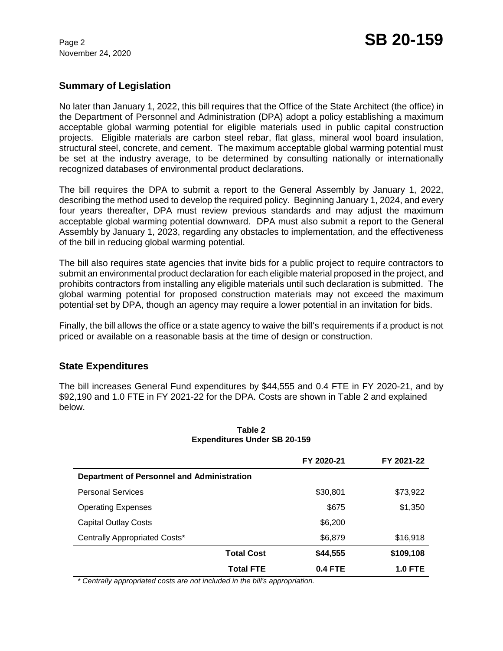November 24, 2020

# **Summary of Legislation**

No later than January 1, 2022, this bill requires that the Office of the State Architect (the office) in the Department of Personnel and Administration (DPA) adopt a policy establishing a maximum acceptable global warming potential for eligible materials used in public capital construction projects. Eligible materials are carbon steel rebar, flat glass, mineral wool board insulation, structural steel, concrete, and cement. The maximum acceptable global warming potential must be set at the industry average, to be determined by consulting nationally or internationally recognized databases of environmental product declarations.

The bill requires the DPA to submit a report to the General Assembly by January 1, 2022, describing the method used to develop the required policy. Beginning January 1, 2024, and every four years thereafter, DPA must review previous standards and may adjust the maximum acceptable global warming potential downward. DPA must also submit a report to the General Assembly by January 1, 2023, regarding any obstacles to implementation, and the effectiveness of the bill in reducing global warming potential.

The bill also requires state agencies that invite bids for a public project to require contractors to submit an environmental product declaration for each eligible material proposed in the project, and prohibits contractors from installing any eligible materials until such declaration is submitted. The global warming potential for proposed construction materials may not exceed the maximum potential set by DPA, though an agency may require a lower potential in an invitation for bids.

Finally, the bill allows the office or a state agency to waive the bill's requirements if a product is not priced or available on a reasonable basis at the time of design or construction.

## **State Expenditures**

The bill increases General Fund expenditures by \$44,555 and 0.4 FTE in FY 2020-21, and by \$92,190 and 1.0 FTE in FY 2021-22 for the DPA. Costs are shown in Table 2 and explained below.

|                                            | FY 2020-21 | FY 2021-22     |  |  |
|--------------------------------------------|------------|----------------|--|--|
| Department of Personnel and Administration |            |                |  |  |
| <b>Personal Services</b>                   | \$30,801   | \$73,922       |  |  |
| <b>Operating Expenses</b>                  | \$675      | \$1,350        |  |  |
| <b>Capital Outlay Costs</b>                | \$6,200    |                |  |  |
| Centrally Appropriated Costs*              | \$6,879    | \$16,918       |  |  |
| <b>Total Cost</b>                          | \$44,555   | \$109,108      |  |  |
| <b>Total FTE</b>                           | 0.4 FTE    | <b>1.0 FTE</b> |  |  |

#### **Table 2 Expenditures Under SB 20-159**

 *\* Centrally appropriated costs are not included in the bill's appropriation.*